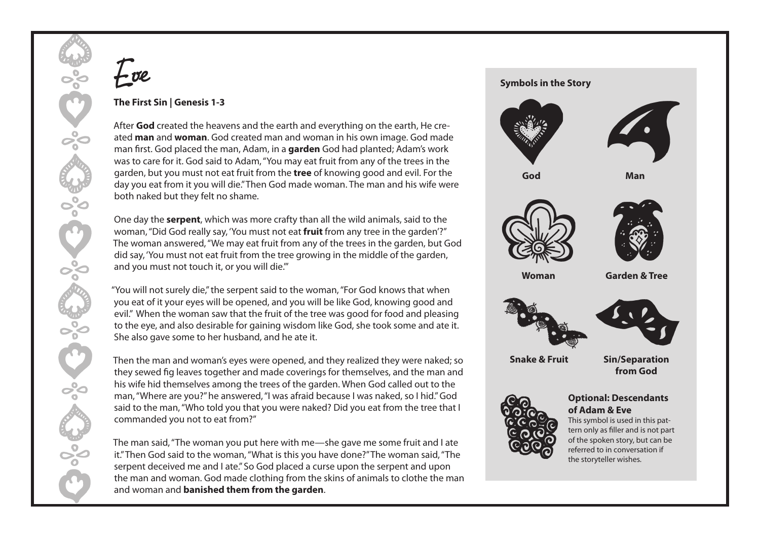## **The First Sin | Genesis 1-3**

Eve

After **God** created the heavens and the earth and everything on the earth, He created **man** and **woman**. God created man and woman in his own image. God made man first. God placed the man, Adam, in a **garden** God had planted; Adam's work was to care for it. God said to Adam, "You may eat fruit from any of the trees in the garden, but you must not eat fruit from the **tree** of knowing good and evil. For the day you eat from it you will die." Then God made woman. The man and his wife were both naked but they felt no shame.

One day the **serpent**, which was more crafty than all the wild animals, said to the woman, "Did God really say, 'You must not eat **fruit** from any tree in the garden'?" The woman answered, "We may eat fruit from any of the trees in the garden, but God did say, 'You must not eat fruit from the tree growing in the middle of the garden, and you must not touch it, or you will die.'"

"You will not surely die," the serpent said to the woman, "For God knows that when you eat of it your eyes will be opened, and you will be like God, knowing good and evil." When the woman saw that the fruit of the tree was good for food and pleasing to the eye, and also desirable for gaining wisdom like God, she took some and ate it. She also gave some to her husband, and he ate it.

Then the man and woman's eyes were opened, and they realized they were naked; so they sewed fig leaves together and made coverings for themselves, and the man and his wife hid themselves among the trees of the garden. When God called out to the man, "Where are you?" he answered, "I was afraid because I was naked, so I hid." God said to the man, "Who told you that you were naked? Did you eat from the tree that I commanded you not to eat from?"

The man said, "The woman you put here with me—she gave me some fruit and I ate it." Then God said to the woman, "What is this you have done?" The woman said, "The serpent deceived me and I ate." So God placed a curse upon the serpent and upon the man and woman. God made clothing from the skins of animals to clothe the man and woman and **banished them from the garden**.





## **Optional: Descendants of Adam & Eve**

This symbol is used in this pattern only as filler and is not part of the spoken story, but can be referred to in conversation if the storyteller wishes.